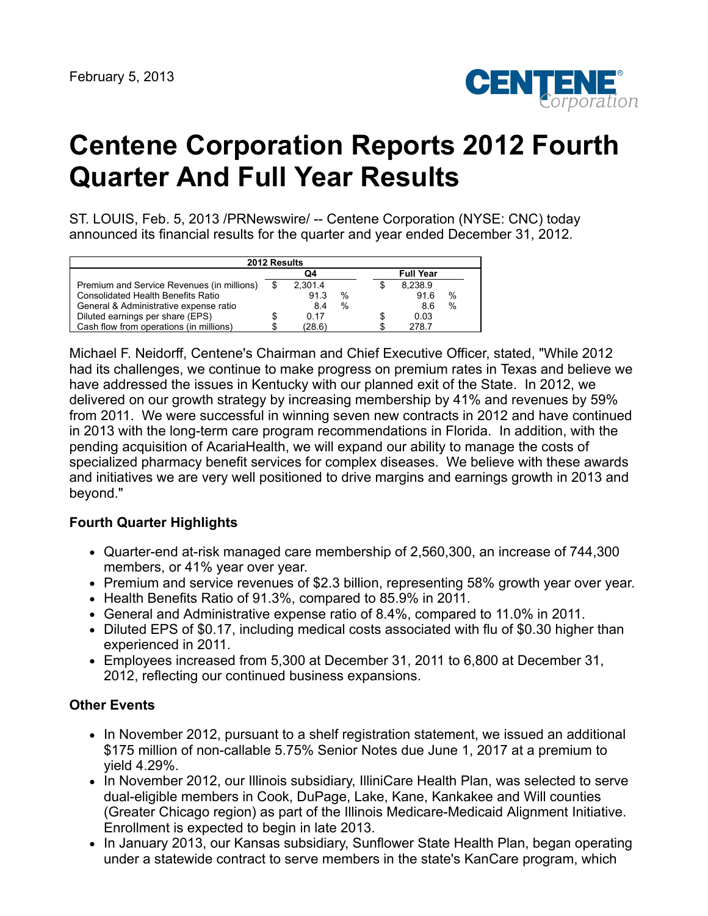

# **Centene Corporation Reports 2012 Fourth Quarter And Full Year Results**

ST. LOUIS, Feb. 5, 2013 /PRNewswire/ -- Centene Corporation (NYSE: CNC) today announced its financial results for the quarter and year ended December 31, 2012.

| 2012 Results                               |   |         |   |  |                  |      |  |  |
|--------------------------------------------|---|---------|---|--|------------------|------|--|--|
|                                            |   | Q4      |   |  | <b>Full Year</b> |      |  |  |
| Premium and Service Revenues (in millions) | S | 2.301.4 |   |  | 8.238.9          |      |  |  |
| <b>Consolidated Health Benefits Ratio</b>  |   | 91.3    | % |  | 91.6             | $\%$ |  |  |
| General & Administrative expense ratio     |   | 8.4     | % |  | 8.6              | %    |  |  |
| Diluted earnings per share (EPS)           |   | 0.17    |   |  | 0.03             |      |  |  |
| Cash flow from operations (in millions)    |   | (28.6)  |   |  | 278.7            |      |  |  |

Michael F. Neidorff, Centene's Chairman and Chief Executive Officer, stated, "While 2012 had its challenges, we continue to make progress on premium rates in Texas and believe we have addressed the issues in Kentucky with our planned exit of the State. In 2012, we delivered on our growth strategy by increasing membership by 41% and revenues by 59% from 2011. We were successful in winning seven new contracts in 2012 and have continued in 2013 with the long-term care program recommendations in Florida. In addition, with the pending acquisition of AcariaHealth, we will expand our ability to manage the costs of specialized pharmacy benefit services for complex diseases. We believe with these awards and initiatives we are very well positioned to drive margins and earnings growth in 2013 and beyond."

### **Fourth Quarter Highlights**

- Quarter-end at-risk managed care membership of 2,560,300, an increase of 744,300 members, or 41% year over year.
- Premium and service revenues of \$2.3 billion, representing 58% growth year over year.
- Health Benefits Ratio of 91.3%, compared to 85.9% in 2011.
- General and Administrative expense ratio of 8.4%, compared to 11.0% in 2011.
- Diluted EPS of \$0.17, including medical costs associated with flu of \$0.30 higher than experienced in 2011.
- Employees increased from 5,300 at December 31, 2011 to 6,800 at December 31, 2012, reflecting our continued business expansions.

### **Other Events**

- In November 2012, pursuant to a shelf registration statement, we issued an additional \$175 million of non-callable 5.75% Senior Notes due June 1, 2017 at a premium to yield 4.29%.
- In November 2012, our Illinois subsidiary, IlliniCare Health Plan, was selected to serve dual-eligible members in Cook, DuPage, Lake, Kane, Kankakee and Will counties (Greater Chicago region) as part of the Illinois Medicare-Medicaid Alignment Initiative. Enrollment is expected to begin in late 2013.
- In January 2013, our Kansas subsidiary, Sunflower State Health Plan, began operating under a statewide contract to serve members in the state's KanCare program, which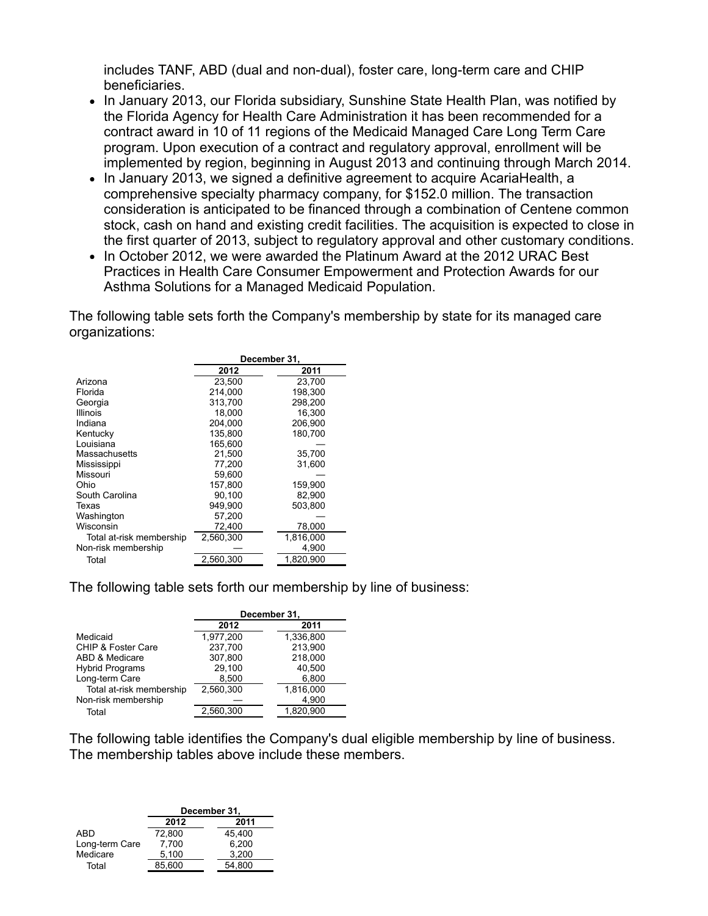includes TANF, ABD (dual and non-dual), foster care, long-term care and CHIP beneficiaries.

- In January 2013, our Florida subsidiary, Sunshine State Health Plan, was notified by the Florida Agency for Health Care Administration it has been recommended for a contract award in 10 of 11 regions of the Medicaid Managed Care Long Term Care program. Upon execution of a contract and regulatory approval, enrollment will be implemented by region, beginning in August 2013 and continuing through March 2014.
- In January 2013, we signed a definitive agreement to acquire AcariaHealth, a comprehensive specialty pharmacy company, for \$152.0 million. The transaction consideration is anticipated to be financed through a combination of Centene common stock, cash on hand and existing credit facilities. The acquisition is expected to close in the first quarter of 2013, subject to regulatory approval and other customary conditions.
- In October 2012, we were awarded the Platinum Award at the 2012 URAC Best Practices in Health Care Consumer Empowerment and Protection Awards for our Asthma Solutions for a Managed Medicaid Population.

The following table sets forth the Company's membership by state for its managed care organizations:

|                          | December 31, |           |  |  |  |
|--------------------------|--------------|-----------|--|--|--|
|                          | 2012         | 2011      |  |  |  |
| Arizona                  | 23.500       | 23.700    |  |  |  |
| Florida                  | 214,000      | 198.300   |  |  |  |
| Georgia                  | 313.700      | 298.200   |  |  |  |
| <b>Illinois</b>          | 18.000       | 16.300    |  |  |  |
| Indiana                  | 204,000      | 206,900   |  |  |  |
| Kentucky                 | 135.800      | 180,700   |  |  |  |
| Louisiana                | 165.600      |           |  |  |  |
| Massachusetts            | 21,500       | 35,700    |  |  |  |
| Mississippi              | 77,200       | 31,600    |  |  |  |
| Missouri                 | 59,600       |           |  |  |  |
| Ohio                     | 157,800      | 159,900   |  |  |  |
| South Carolina           | 90.100       | 82.900    |  |  |  |
| Texas                    | 949.900      | 503.800   |  |  |  |
| Washington               | 57,200       |           |  |  |  |
| Wisconsin                | 72,400       | 78,000    |  |  |  |
| Total at-risk membership | 2.560.300    | 1,816,000 |  |  |  |
| Non-risk membership      |              | 4,900     |  |  |  |
| Total                    | 2.560.300    | 1.820.900 |  |  |  |

The following table sets forth our membership by line of business:

|                          | December 31, |           |  |  |  |
|--------------------------|--------------|-----------|--|--|--|
|                          | 2012         | 2011      |  |  |  |
| Medicaid                 | 1,977,200    | 1,336,800 |  |  |  |
| CHIP & Foster Care       | 237,700      | 213,900   |  |  |  |
| ABD & Medicare           | 307,800      | 218,000   |  |  |  |
| <b>Hybrid Programs</b>   | 29,100       | 40,500    |  |  |  |
| Long-term Care           | 8,500        | 6,800     |  |  |  |
| Total at-risk membership | 2.560.300    | 1,816,000 |  |  |  |
| Non-risk membership      |              | 4,900     |  |  |  |
| Total                    | 2,560,300    | 1,820,900 |  |  |  |

The following table identifies the Company's dual eligible membership by line of business. The membership tables above include these members.

|                | December 31, |        |  |  |  |
|----------------|--------------|--------|--|--|--|
|                | 2012         | 2011   |  |  |  |
| ABD            | 72.800       | 45.400 |  |  |  |
| Long-term Care | 7,700        | 6.200  |  |  |  |
| Medicare       | 5.100        | 3.200  |  |  |  |
| Total          | 85.600       | 54.800 |  |  |  |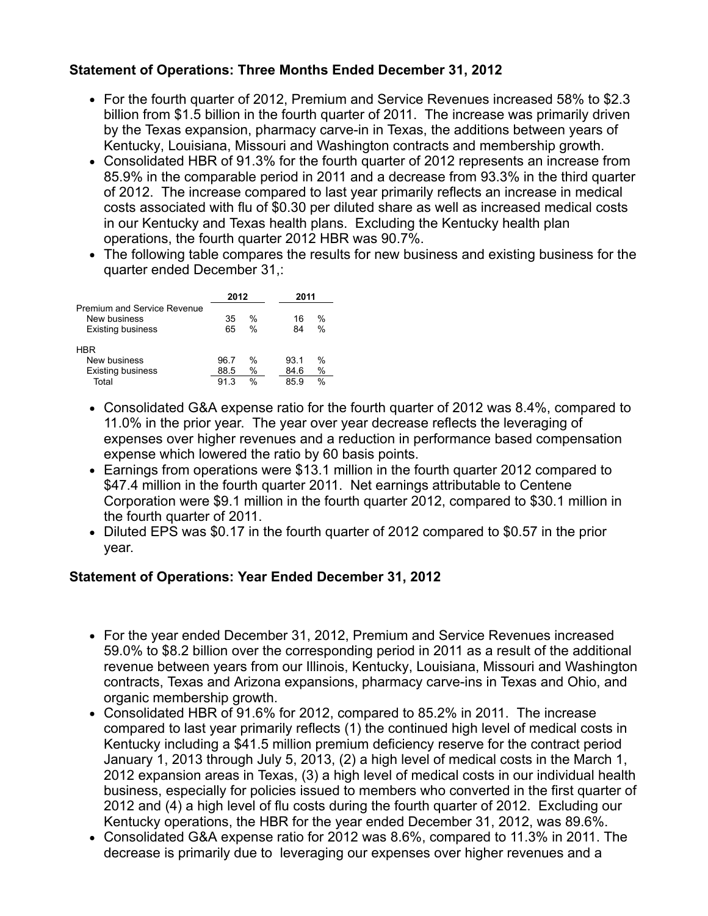## **Statement of Operations: Three Months Ended December 31, 2012**

- For the fourth quarter of 2012, Premium and Service Revenues increased 58% to \$2.3 billion from \$1.5 billion in the fourth quarter of 2011. The increase was primarily driven by the Texas expansion, pharmacy carve-in in Texas, the additions between years of Kentucky, Louisiana, Missouri and Washington contracts and membership growth.
- Consolidated HBR of 91.3% for the fourth quarter of 2012 represents an increase from 85.9% in the comparable period in 2011 and a decrease from 93.3% in the third quarter of 2012. The increase compared to last year primarily reflects an increase in medical costs associated with flu of \$0.30 per diluted share as well as increased medical costs in our Kentucky and Texas health plans. Excluding the Kentucky health plan operations, the fourth quarter 2012 HBR was 90.7%.
- The following table compares the results for new business and existing business for the quarter ended December 31,:

|                                                                         | 2012     |              |  | 2011     |                                |  |
|-------------------------------------------------------------------------|----------|--------------|--|----------|--------------------------------|--|
| Premium and Service Revenue<br>New business<br><b>Existing business</b> | 35<br>65 | $\%$<br>$\%$ |  | 16<br>84 | $\frac{0}{0}$<br>$\frac{0}{0}$ |  |
| HBR                                                                     |          |              |  |          |                                |  |
| New business                                                            | 96.7     | %            |  | 93.1     | $\frac{0}{0}$                  |  |
| <b>Existing business</b>                                                | 88.5     | %            |  | 84.6     | $\%$                           |  |
| Total                                                                   | 91.3     | $\%$         |  | 85.9     | $\%$                           |  |

- Consolidated G&A expense ratio for the fourth quarter of 2012 was 8.4%, compared to 11.0% in the prior year. The year over year decrease reflects the leveraging of expenses over higher revenues and a reduction in performance based compensation expense which lowered the ratio by 60 basis points.
- Earnings from operations were \$13.1 million in the fourth quarter 2012 compared to \$47.4 million in the fourth quarter 2011. Net earnings attributable to Centene Corporation were \$9.1 million in the fourth quarter 2012, compared to \$30.1 million in the fourth quarter of 2011.
- Diluted EPS was \$0.17 in the fourth quarter of 2012 compared to \$0.57 in the prior year.

### **Statement of Operations: Year Ended December 31, 2012**

- For the year ended December 31, 2012, Premium and Service Revenues increased 59.0% to \$8.2 billion over the corresponding period in 2011 as a result of the additional revenue between years from our Illinois, Kentucky, Louisiana, Missouri and Washington contracts, Texas and Arizona expansions, pharmacy carve-ins in Texas and Ohio, and organic membership growth.
- Consolidated HBR of 91.6% for 2012, compared to 85.2% in 2011. The increase compared to last year primarily reflects (1) the continued high level of medical costs in Kentucky including a \$41.5 million premium deficiency reserve for the contract period January 1, 2013 through July 5, 2013, (2) a high level of medical costs in the March 1, 2012 expansion areas in Texas, (3) a high level of medical costs in our individual health business, especially for policies issued to members who converted in the first quarter of 2012 and (4) a high level of flu costs during the fourth quarter of 2012. Excluding our Kentucky operations, the HBR for the year ended December 31, 2012, was 89.6%.
- Consolidated G&A expense ratio for 2012 was 8.6%, compared to 11.3% in 2011. The decrease is primarily due to leveraging our expenses over higher revenues and a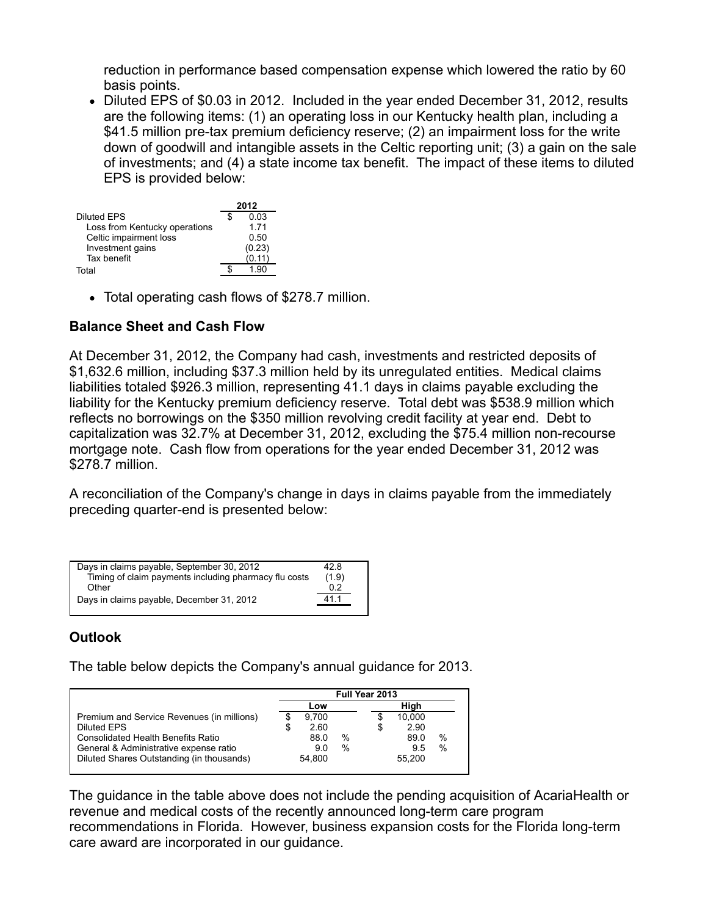reduction in performance based compensation expense which lowered the ratio by 60 basis points.

Diluted EPS of \$0.03 in 2012. Included in the year ended December 31, 2012, results are the following items: (1) an operating loss in our Kentucky health plan, including a \$41.5 million pre-tax premium deficiency reserve; (2) an impairment loss for the write down of goodwill and intangible assets in the Celtic reporting unit; (3) a gain on the sale of investments; and (4) a state income tax benefit. The impact of these items to diluted EPS is provided below:

|                               | 2012 |        |  |
|-------------------------------|------|--------|--|
| Diluted EPS                   |      | 0.03   |  |
| Loss from Kentucky operations |      | 1 7 1  |  |
| Celtic impairment loss        |      | 0.50   |  |
| Investment gains              |      | (0.23) |  |
| Tax benefit                   |      | (0.11) |  |
| T∩tal                         |      | 1.90   |  |

Total operating cash flows of \$278.7 million.

#### **Balance Sheet and Cash Flow**

At December 31, 2012, the Company had cash, investments and restricted deposits of \$1,632.6 million, including \$37.3 million held by its unregulated entities. Medical claims liabilities totaled \$926.3 million, representing 41.1 days in claims payable excluding the liability for the Kentucky premium deficiency reserve. Total debt was \$538.9 million which reflects no borrowings on the \$350 million revolving credit facility at year end. Debt to capitalization was 32.7% at December 31, 2012, excluding the \$75.4 million non-recourse mortgage note. Cash flow from operations for the year ended December 31, 2012 was \$278.7 million.

A reconciliation of the Company's change in days in claims payable from the immediately preceding quarter-end is presented below:

| Days in claims payable, September 30, 2012            | 42.8  |
|-------------------------------------------------------|-------|
| Timing of claim payments including pharmacy flu costs | (1.9) |
| Other                                                 | 0.2   |
| Days in claims payable, December 31, 2012             | 411   |
|                                                       |       |

# **Outlook**

The table below depicts the Company's annual guidance for 2013.

|                                            | <b>Full Year 2013</b> |        |      |   |        |               |
|--------------------------------------------|-----------------------|--------|------|---|--------|---------------|
|                                            |                       | Low    |      |   | Hiah   |               |
| Premium and Service Revenues (in millions) |                       | 9.700  |      |   | 10,000 |               |
| <b>Diluted EPS</b>                         |                       | 2.60   |      | S | 2.90   |               |
| <b>Consolidated Health Benefits Ratio</b>  |                       | 88.0   | %    |   | 89.0   | $\%$          |
| General & Administrative expense ratio     |                       | 9.0    | $\%$ |   | 9.5    | $\frac{0}{0}$ |
| Diluted Shares Outstanding (in thousands)  |                       | 54.800 |      |   | 55.200 |               |

The guidance in the table above does not include the pending acquisition of AcariaHealth or revenue and medical costs of the recently announced long-term care program recommendations in Florida. However, business expansion costs for the Florida long-term care award are incorporated in our guidance.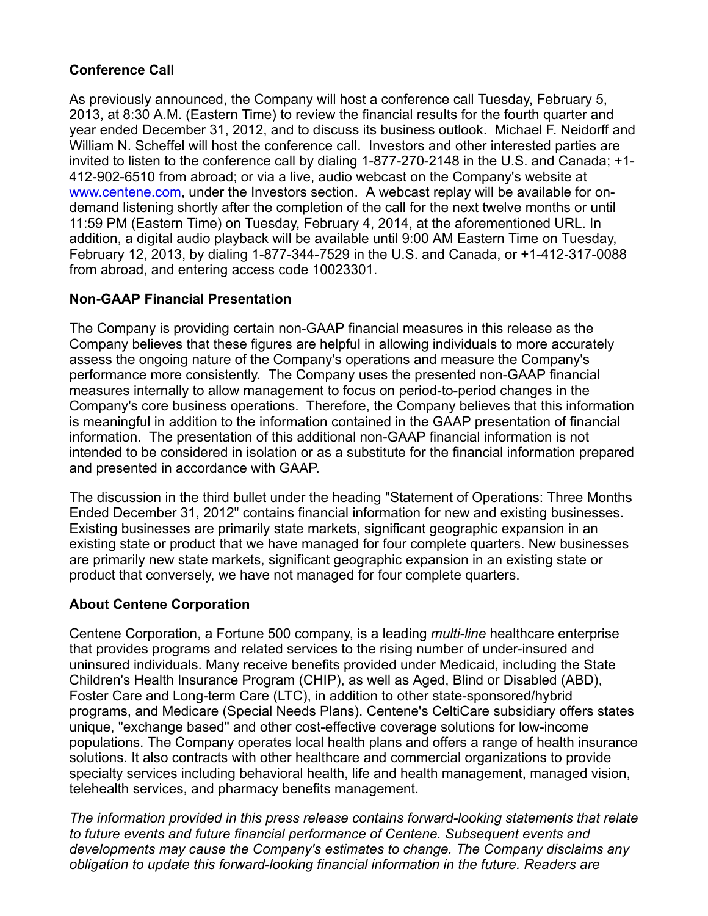## **Conference Call**

As previously announced, the Company will host a conference call Tuesday, February 5, 2013, at 8:30 A.M. (Eastern Time) to review the financial results for the fourth quarter and year ended December 31, 2012, and to discuss its business outlook. Michael F. Neidorff and William N. Scheffel will host the conference call. Investors and other interested parties are invited to listen to the conference call by dialing 1-877-270-2148 in the U.S. and Canada; +1- 412-902-6510 from abroad; or via a live, audio webcast on the Company's website at [www.centene.com,](http://www.centene.com/) under the Investors section. A webcast replay will be available for ondemand listening shortly after the completion of the call for the next twelve months or until 11:59 PM (Eastern Time) on Tuesday, February 4, 2014, at the aforementioned URL. In addition, a digital audio playback will be available until 9:00 AM Eastern Time on Tuesday, February 12, 2013, by dialing 1-877-344-7529 in the U.S. and Canada, or +1-412-317-0088 from abroad, and entering access code 10023301.

### **Non-GAAP Financial Presentation**

The Company is providing certain non-GAAP financial measures in this release as the Company believes that these figures are helpful in allowing individuals to more accurately assess the ongoing nature of the Company's operations and measure the Company's performance more consistently. The Company uses the presented non-GAAP financial measures internally to allow management to focus on period-to-period changes in the Company's core business operations. Therefore, the Company believes that this information is meaningful in addition to the information contained in the GAAP presentation of financial information. The presentation of this additional non-GAAP financial information is not intended to be considered in isolation or as a substitute for the financial information prepared and presented in accordance with GAAP.

The discussion in the third bullet under the heading "Statement of Operations: Three Months Ended December 31, 2012" contains financial information for new and existing businesses. Existing businesses are primarily state markets, significant geographic expansion in an existing state or product that we have managed for four complete quarters. New businesses are primarily new state markets, significant geographic expansion in an existing state or product that conversely, we have not managed for four complete quarters.

#### **About Centene Corporation**

Centene Corporation, a Fortune 500 company, is a leading *multi-line* healthcare enterprise that provides programs and related services to the rising number of under-insured and uninsured individuals. Many receive benefits provided under Medicaid, including the State Children's Health Insurance Program (CHIP), as well as Aged, Blind or Disabled (ABD), Foster Care and Long-term Care (LTC), in addition to other state-sponsored/hybrid programs, and Medicare (Special Needs Plans). Centene's CeltiCare subsidiary offers states unique, "exchange based" and other cost-effective coverage solutions for low-income populations. The Company operates local health plans and offers a range of health insurance solutions. It also contracts with other healthcare and commercial organizations to provide specialty services including behavioral health, life and health management, managed vision, telehealth services, and pharmacy benefits management.

*The information provided in this press release contains forward-looking statements that relate to future events and future financial performance of Centene. Subsequent events and developments may cause the Company's estimates to change. The Company disclaims any obligation to update this forward-looking financial information in the future. Readers are*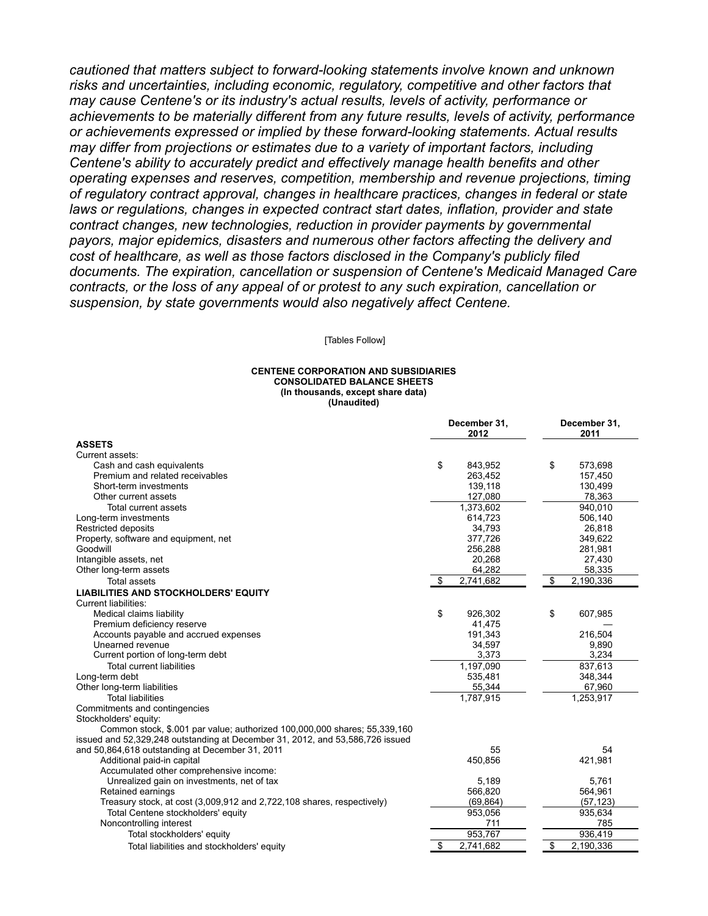*cautioned that matters subject to forward-looking statements involve known and unknown risks and uncertainties, including economic, regulatory, competitive and other factors that may cause Centene's or its industry's actual results, levels of activity, performance or achievements to be materially different from any future results, levels of activity, performance or achievements expressed or implied by these forward-looking statements. Actual results may differ from projections or estimates due to a variety of important factors, including Centene's ability to accurately predict and effectively manage health benefits and other operating expenses and reserves, competition, membership and revenue projections, timing of regulatory contract approval, changes in healthcare practices, changes in federal or state laws or regulations, changes in expected contract start dates, inflation, provider and state contract changes, new technologies, reduction in provider payments by governmental payors, major epidemics, disasters and numerous other factors affecting the delivery and cost of healthcare, as well as those factors disclosed in the Company's publicly filed documents. The expiration, cancellation or suspension of Centene's Medicaid Managed Care contracts, or the loss of any appeal of or protest to any such expiration, cancellation or suspension, by state governments would also negatively affect Centene.*

[Tables Follow]

#### **CENTENE CORPORATION AND SUBSIDIARIES CONSOLIDATED BALANCE SHEETS (In thousands, except share data) (Unaudited)**

|                                                                               | December 31,<br>2012 | December 31,<br>2011 |
|-------------------------------------------------------------------------------|----------------------|----------------------|
| <b>ASSETS</b>                                                                 |                      |                      |
| Current assets:                                                               |                      |                      |
| Cash and cash equivalents                                                     | \$<br>843.952        | \$<br>573,698        |
| Premium and related receivables                                               | 263,452              | 157,450              |
| Short-term investments                                                        | 139,118              | 130,499              |
| Other current assets                                                          | 127,080              | 78,363               |
| <b>Total current assets</b>                                                   | 1,373,602            | 940,010              |
| Long-term investments                                                         | 614,723              | 506,140              |
| <b>Restricted deposits</b>                                                    | 34,793               | 26.818               |
| Property, software and equipment, net                                         | 377,726              | 349,622              |
| Goodwill                                                                      | 256,288              | 281,981              |
| Intangible assets, net                                                        | 20,268               | 27,430               |
| Other long-term assets                                                        | 64,282               | 58,335               |
| <b>Total assets</b>                                                           | 2,741,682<br>\$      | \$<br>2,190,336      |
| <b>LIABILITIES AND STOCKHOLDERS' EQUITY</b>                                   |                      |                      |
| Current liabilities:                                                          |                      |                      |
| Medical claims liability                                                      | \$<br>926,302        | \$<br>607,985        |
| Premium deficiency reserve                                                    | 41,475               |                      |
| Accounts payable and accrued expenses                                         | 191,343              | 216,504              |
| Unearned revenue                                                              | 34,597               | 9,890                |
| Current portion of long-term debt                                             | 3,373                | 3,234                |
| <b>Total current liabilities</b>                                              | 1,197,090            | 837,613              |
| Long-term debt                                                                | 535,481              | 348,344              |
| Other long-term liabilities                                                   | 55,344               | 67,960               |
| <b>Total liabilities</b>                                                      | 1,787,915            | 1,253,917            |
| Commitments and contingencies                                                 |                      |                      |
| Stockholders' equity:                                                         |                      |                      |
| Common stock, \$.001 par value; authorized 100,000,000 shares; 55,339,160     |                      |                      |
| issued and 52,329,248 outstanding at December 31, 2012, and 53,586,726 issued |                      |                      |
| and 50,864,618 outstanding at December 31, 2011                               | 55                   | 54                   |
| Additional paid-in capital                                                    | 450,856              | 421,981              |
| Accumulated other comprehensive income:                                       |                      |                      |
| Unrealized gain on investments, net of tax                                    | 5,189                | 5,761                |
| Retained earnings                                                             | 566,820              | 564,961              |
| Treasury stock, at cost (3,009,912 and 2,722,108 shares, respectively)        | (69, 864)            | (57, 123)            |
| Total Centene stockholders' equity                                            | 953,056              | 935,634              |
| Noncontrolling interest                                                       | 711                  | 785                  |
| Total stockholders' equity                                                    | 953.767              | 936,419              |
| Total liabilities and stockholders' equity                                    | \$<br>2,741,682      | \$<br>2,190,336      |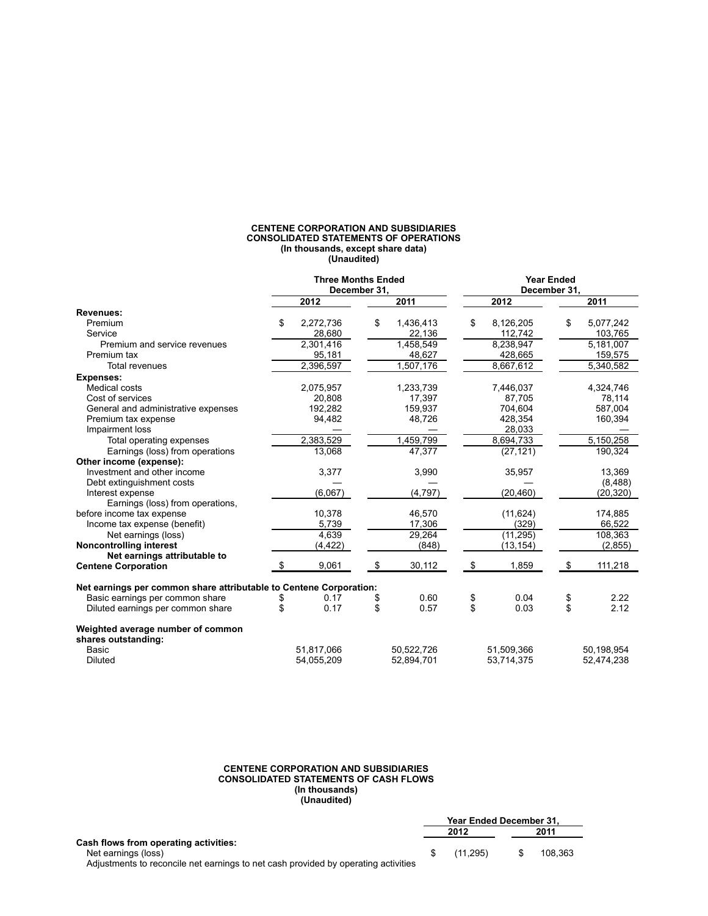#### **CENTENE CORPORATION AND SUBSIDIARIES CONSOLIDATED STATEMENTS OF OPERATIONS (In thousands, except share data) (Unaudited)**

|                                                                    | <b>Three Months Ended</b><br>December 31. |            |                 |    |            |    |            |
|--------------------------------------------------------------------|-------------------------------------------|------------|-----------------|----|------------|----|------------|
|                                                                    |                                           | 2012       | 2011            |    | 2012       |    | 2011       |
| <b>Revenues:</b>                                                   |                                           |            |                 |    |            |    |            |
| Premium                                                            | \$                                        | 2,272,736  | \$<br>1,436,413 | \$ | 8,126,205  | \$ | 5,077,242  |
| Service                                                            |                                           | 28,680     | 22,136          |    | 112,742    |    | 103,765    |
| Premium and service revenues                                       |                                           | 2,301,416  | 1,458,549       |    | 8,238,947  |    | 5,181,007  |
| Premium tax                                                        |                                           | 95,181     | 48,627          |    | 428,665    |    | 159,575    |
| Total revenues                                                     |                                           | 2,396,597  | 1,507,176       |    | 8,667,612  |    | 5,340,582  |
| <b>Expenses:</b>                                                   |                                           |            |                 |    |            |    |            |
| <b>Medical costs</b>                                               |                                           | 2,075,957  | 1,233,739       |    | 7,446,037  |    | 4,324,746  |
| Cost of services                                                   |                                           | 20,808     | 17,397          |    | 87,705     |    | 78,114     |
| General and administrative expenses                                |                                           | 192,282    | 159,937         |    | 704,604    |    | 587,004    |
| Premium tax expense                                                |                                           | 94,482     | 48,726          |    | 428,354    |    | 160,394    |
| Impairment loss                                                    |                                           |            |                 |    | 28,033     |    |            |
| Total operating expenses                                           |                                           | 2,383,529  | 1,459,799       |    | 8,694,733  |    | 5,150,258  |
| Earnings (loss) from operations                                    |                                           | 13,068     | 47,377          |    | (27, 121)  |    | 190,324    |
| Other income (expense):                                            |                                           |            |                 |    |            |    |            |
| Investment and other income                                        |                                           | 3,377      | 3,990           |    | 35,957     |    | 13,369     |
| Debt extinguishment costs                                          |                                           |            |                 |    |            |    | (8,488)    |
| Interest expense                                                   |                                           | (6,067)    | (4,797)         |    | (20, 460)  |    | (20, 320)  |
| Earnings (loss) from operations,                                   |                                           |            |                 |    |            |    |            |
| before income tax expense                                          |                                           | 10,378     | 46,570          |    | (11, 624)  |    | 174,885    |
| Income tax expense (benefit)                                       |                                           | 5,739      | 17,306          |    | (329)      |    | 66,522     |
| Net earnings (loss)                                                |                                           | 4,639      | 29,264          |    | (11, 295)  |    | 108,363    |
| <b>Noncontrolling interest</b>                                     |                                           | (4, 422)   | (848)           |    | (13, 154)  |    | (2, 855)   |
| Net earnings attributable to<br><b>Centene Corporation</b>         |                                           | 9,061      | \$<br>30,112    | \$ | 1,859      | \$ | 111,218    |
| Net earnings per common share attributable to Centene Corporation: |                                           |            |                 |    |            |    |            |
| Basic earnings per common share                                    | \$                                        | 0.17       | \$<br>0.60      | \$ | 0.04       | \$ | 2.22       |
| Diluted earnings per common share                                  | \$                                        | 0.17       | \$<br>0.57      | \$ | 0.03       | \$ | 2.12       |
| Weighted average number of common<br>shares outstanding:           |                                           |            |                 |    |            |    |            |
| <b>Basic</b>                                                       |                                           | 51,817,066 | 50,522,726      |    | 51,509,366 |    | 50,198,954 |
| <b>Diluted</b>                                                     |                                           | 54,055,209 | 52,894,701      |    | 53,714,375 |    | 52,474,238 |

#### **CENTENE CORPORATION AND SUBSIDIARIES CONSOLIDATED STATEMENTS OF CASH FLOWS (In thousands) (Unaudited)**

|                                                                                    | <b>Year Ended December 31.</b> |          |  |         |  |
|------------------------------------------------------------------------------------|--------------------------------|----------|--|---------|--|
|                                                                                    | 2012                           |          |  | 2011    |  |
| <b>Cash flows from operating activities:</b>                                       |                                |          |  |         |  |
| Net earnings (loss)                                                                |                                | (11.295) |  | 108.363 |  |
| Adjustments to reconcile net earnings to net cash provided by operating activities |                                |          |  |         |  |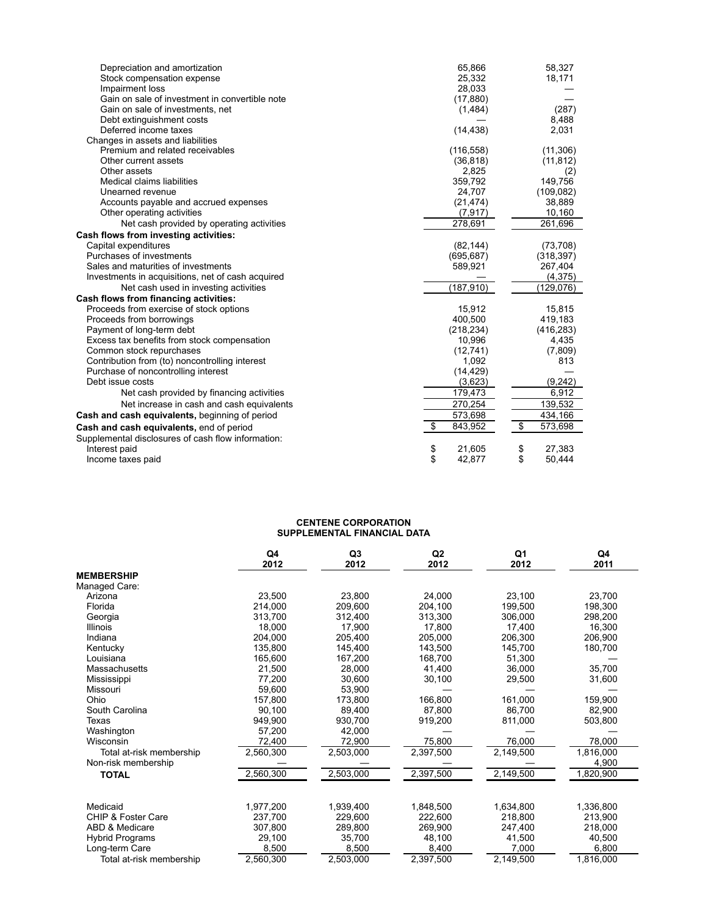| Depreciation and amortization                      | 65,866        | 58,327        |
|----------------------------------------------------|---------------|---------------|
| Stock compensation expense                         | 25,332        | 18,171        |
| Impairment loss                                    | 28,033        |               |
| Gain on sale of investment in convertible note     | (17, 880)     |               |
| Gain on sale of investments, net                   | (1, 484)      | (287)         |
| Debt extinguishment costs                          |               | 8,488         |
| Deferred income taxes                              | (14, 438)     | 2,031         |
| Changes in assets and liabilities                  |               |               |
| Premium and related receivables                    | (116, 558)    | (11, 306)     |
| Other current assets                               | (36, 818)     | (11, 812)     |
| Other assets                                       | 2,825         | (2)           |
| Medical claims liabilities                         | 359,792       | 149,756       |
| Unearned revenue                                   | 24,707        | (109, 082)    |
| Accounts payable and accrued expenses              | (21, 474)     | 38,889        |
| Other operating activities                         | (7, 917)      | 10,160        |
| Net cash provided by operating activities          | 278,691       | 261,696       |
| Cash flows from investing activities:              |               |               |
| Capital expenditures                               | (82, 144)     | (73, 708)     |
| Purchases of investments                           | (695, 687)    | (318, 397)    |
| Sales and maturities of investments                | 589,921       | 267,404       |
| Investments in acquisitions, net of cash acquired  |               | (4, 375)      |
| Net cash used in investing activities              | (187, 910)    | (129.076)     |
| Cash flows from financing activities:              |               |               |
| Proceeds from exercise of stock options            | 15,912        | 15,815        |
| Proceeds from borrowings                           | 400,500       | 419,183       |
| Payment of long-term debt                          | (218, 234)    | (416, 283)    |
| Excess tax benefits from stock compensation        | 10,996        | 4,435         |
| Common stock repurchases                           | (12, 741)     | (7,809)       |
| Contribution from (to) noncontrolling interest     | 1,092         | 813           |
| Purchase of noncontrolling interest                | (14, 429)     |               |
| Debt issue costs                                   | (3,623)       | (9,242)       |
| Net cash provided by financing activities          | 179,473       | 6,912         |
| Net increase in cash and cash equivalents          | 270,254       | 139,532       |
| Cash and cash equivalents, beginning of period     | 573,698       | 434,166       |
| Cash and cash equivalents, end of period           | \$<br>843,952 | \$<br>573,698 |
| Supplemental disclosures of cash flow information: |               |               |
| Interest paid                                      | \$<br>21,605  | 27,383<br>\$  |
| Income taxes paid                                  | \$<br>42,877  | \$<br>50,444  |
|                                                    |               |               |

#### **CENTENE CORPORATION SUPPLEMENTAL FINANCIAL DATA**

|                          | Q4<br>2012 | Q <sub>3</sub><br>2012 | Q <sub>2</sub><br>2012 | Q1<br>2012 | Q4<br>2011 |
|--------------------------|------------|------------------------|------------------------|------------|------------|
| <b>MEMBERSHIP</b>        |            |                        |                        |            |            |
| Managed Care:            |            |                        |                        |            |            |
| Arizona                  | 23.500     | 23,800                 | 24.000                 | 23,100     | 23.700     |
| Florida                  | 214.000    | 209,600                | 204,100                | 199,500    | 198,300    |
| Georgia                  | 313.700    | 312,400                | 313.300                | 306,000    | 298,200    |
| Illinois                 | 18.000     | 17,900                 | 17.800                 | 17,400     | 16.300     |
| Indiana                  | 204.000    | 205,400                | 205.000                | 206,300    | 206,900    |
| Kentucky                 | 135.800    | 145.400                | 143.500                | 145.700    | 180,700    |
| Louisiana                | 165.600    | 167.200                | 168.700                | 51,300     |            |
| Massachusetts            | 21.500     | 28.000                 | 41.400                 | 36.000     | 35.700     |
| Mississippi              | 77.200     | 30,600                 | 30,100                 | 29,500     | 31,600     |
| Missouri                 | 59.600     | 53,900                 |                        |            |            |
| Ohio                     | 157.800    | 173,800                | 166.800                | 161,000    | 159,900    |
| South Carolina           | 90.100     | 89,400                 | 87.800                 | 86,700     | 82,900     |
| Texas                    | 949.900    | 930.700                | 919,200                | 811,000    | 503,800    |
| Washington               | 57.200     | 42.000                 |                        |            |            |
| Wisconsin                | 72,400     | 72,900                 | 75,800                 | 76,000     | 78,000     |
| Total at-risk membership | 2,560,300  | 2,503,000              | 2,397,500              | 2,149,500  | 1,816,000  |
| Non-risk membership      |            |                        |                        |            | 4,900      |
| <b>TOTAL</b>             | 2,560,300  | 2,503,000              | 2,397,500              | 2,149,500  | 1,820,900  |
| Medicaid                 | 1.977.200  | 1.939.400              | 1.848.500              | 1.634.800  | 1,336,800  |
| CHIP & Foster Care       | 237,700    | 229,600                | 222.600                | 218,800    | 213,900    |
| ABD & Medicare           | 307,800    | 289,800                | 269,900                | 247,400    | 218,000    |
| <b>Hybrid Programs</b>   | 29.100     | 35,700                 | 48.100                 | 41,500     | 40.500     |
| Long-term Care           | 8.500      | 8,500                  | 8,400                  | 7,000      | 6,800      |
| Total at-risk membership | 2,560,300  | 2,503,000              | 2,397,500              | 2,149,500  | 1,816,000  |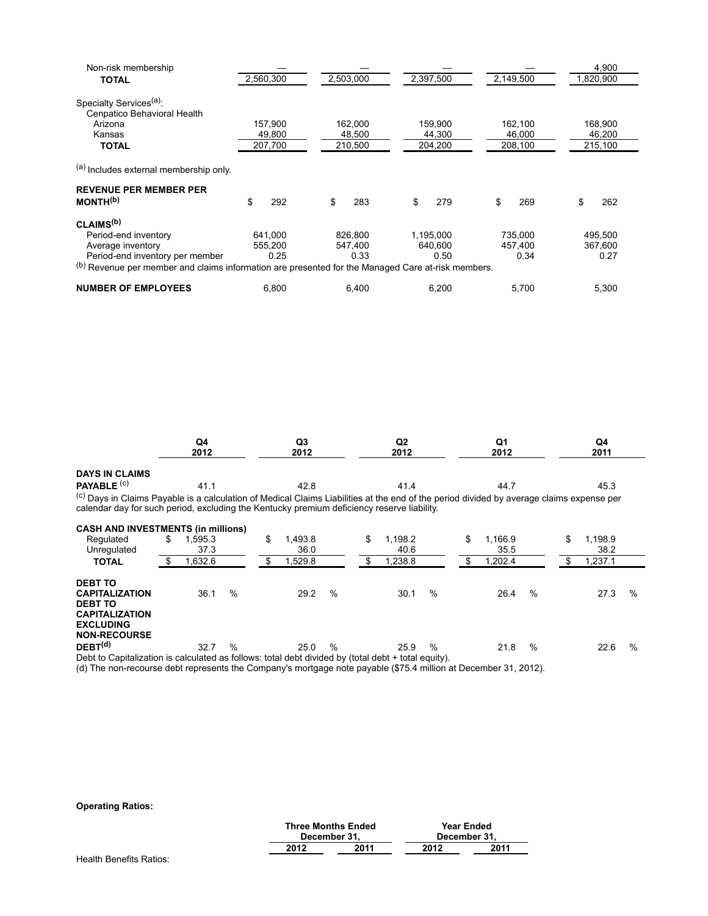| Non-risk membership                                                                                                                                                               |                            |                            |                              |                            | 4,900                      |
|-----------------------------------------------------------------------------------------------------------------------------------------------------------------------------------|----------------------------|----------------------------|------------------------------|----------------------------|----------------------------|
| <b>TOTAL</b>                                                                                                                                                                      | 2,560,300                  | 2,503,000                  | 2,397,500                    | 2,149,500                  | 1,820,900                  |
| Specialty Services <sup>(a)</sup> :<br>Cenpatico Behavioral Health                                                                                                                |                            |                            |                              |                            |                            |
| Arizona                                                                                                                                                                           | 157,900                    | 162,000                    | 159,900                      | 162,100                    | 168,900                    |
| Kansas                                                                                                                                                                            | 49,800                     | 48,500                     | 44,300                       | 46,000                     | 46,200                     |
| <b>TOTAL</b>                                                                                                                                                                      | 207,700                    | 210,500                    | 204,200                      | 208,100                    | 215,100                    |
| (a) Includes external membership only.<br><b>REVENUE PER MEMBER PER</b><br>MONTH <sup>(b)</sup>                                                                                   | \$<br>292                  | \$<br>283                  | \$<br>279                    | \$<br>269                  | \$<br>262                  |
| CLAIMS <sup>(b)</sup>                                                                                                                                                             |                            |                            |                              |                            |                            |
| Period-end inventory<br>Average inventory<br>Period-end inventory per member<br>(b) Revenue per member and claims information are presented for the Managed Care at-risk members. | 641.000<br>555.200<br>0.25 | 826.800<br>547.400<br>0.33 | 1.195.000<br>640.600<br>0.50 | 735.000<br>457.400<br>0.34 | 495.500<br>367,600<br>0.27 |
| <b>NUMBER OF EMPLOYEES</b>                                                                                                                                                        | 6.800                      | 6,400                      | 6,200                        | 5,700                      | 5,300                      |

|                       | Q4<br>2012 | Q3<br>2012 | Q2<br>2012 | Q1<br>2012                                                                                                                                             | Q4<br>2011 |
|-----------------------|------------|------------|------------|--------------------------------------------------------------------------------------------------------------------------------------------------------|------------|
|                       |            |            |            |                                                                                                                                                        |            |
| <b>DAYS IN CLAIMS</b> |            |            |            |                                                                                                                                                        |            |
| <b>PAYABLE (C)</b>    | 41.        | 42.8       | 41.4       | 44.7                                                                                                                                                   | 45.3       |
|                       |            |            |            | $\frac{(c)}{D}$ Dava in Claima Davable is a sole ulation of Modical Claima Lipbilities at the and of the pariod divided by everage eleima expenses per |            |

<sup>(c)</sup> Days in Claims Payable is a calculation of Medical Claims Liabilities at the end of the period divided by average claims expense per calendar day for such period, excluding the Kentucky premium deficiency reserve liability.

| Regulated                                                                                           | \$<br>.595.3 |               | \$<br>1,493.8 |      | \$<br>1,198.2 |      | \$<br>.166.9 |      | \$<br>1,198.9 |   |
|-----------------------------------------------------------------------------------------------------|--------------|---------------|---------------|------|---------------|------|--------------|------|---------------|---|
| Unregulated                                                                                         | 37.3         |               | 36.0          |      | 40.6          |      | 35.5         |      | 38.2          |   |
| <b>TOTAL</b>                                                                                        | 1,632.6      |               | 1,529.8       |      | 1,238.8       |      | ,202.4       |      | 1,237.1       |   |
| <b>DEBT TO</b>                                                                                      |              |               |               |      |               |      |              |      |               |   |
| <b>CAPITALIZATION</b>                                                                               | 36.1         | $\%$          | 29.2          | %    | 30.1          | $\%$ | 26.4         | $\%$ | 27.3          | % |
| <b>DEBT TO</b>                                                                                      |              |               |               |      |               |      |              |      |               |   |
| <b>CAPITALIZATION</b>                                                                               |              |               |               |      |               |      |              |      |               |   |
| <b>EXCLUDING</b>                                                                                    |              |               |               |      |               |      |              |      |               |   |
| <b>NON-RECOURSE</b>                                                                                 |              |               |               |      |               |      |              |      |               |   |
| $DEBT^{(d)}$                                                                                        | 32.7         | $\frac{0}{0}$ | 25.0          | $\%$ | 25.9          | %    | 21.8         | %    | 22.6          | % |
| Debt to Capitalization is calculated as follows: total debt divided by (total debt + total equity). |              |               |               |      |               |      |              |      |               |   |

(d) The non-recourse debt represents the Company's mortgage note payable (\$75.4 million at December 31, 2012).

#### **Operating Ratios:**

|                        |      | <b>Three Months Ended</b><br>December 31. |      | Year Ended<br>December 31. |  |
|------------------------|------|-------------------------------------------|------|----------------------------|--|
|                        | 2012 | 2011                                      | 2012 | 2011                       |  |
| nalth Danafite Dation: |      |                                           |      |                            |  |